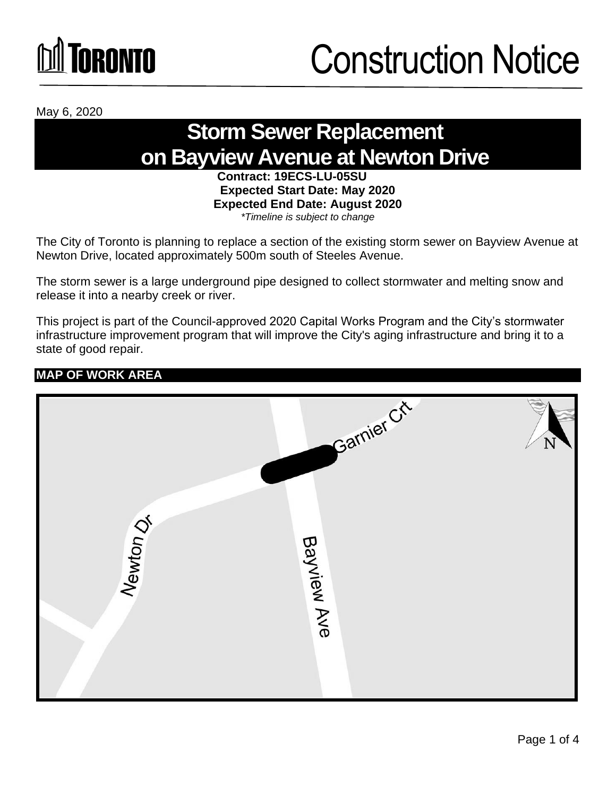# **Toronto**

### Construction Notice

May 6, 2020

### **Storm Sewer Replacement on Bayview Avenue at Newton Drive**

**Contract: 19ECS-LU-05SU Expected Start Date: May 2020 Expected End Date: August 2020**  *\*Timeline is subject to change*

The City of Toronto is planning to replace a section of the existing storm sewer on Bayview Avenue at Newton Drive, located approximately 500m south of Steeles Avenue.

The storm sewer is a large underground pipe designed to collect stormwater and melting snow and release it into a nearby creek or river.

This project is part of the Council-approved 2020 Capital Works Program and the City's stormwater infrastructure improvement program that will improve the City's aging infrastructure and bring it to a state of good repair.

#### **MAP OF WORK AREA**

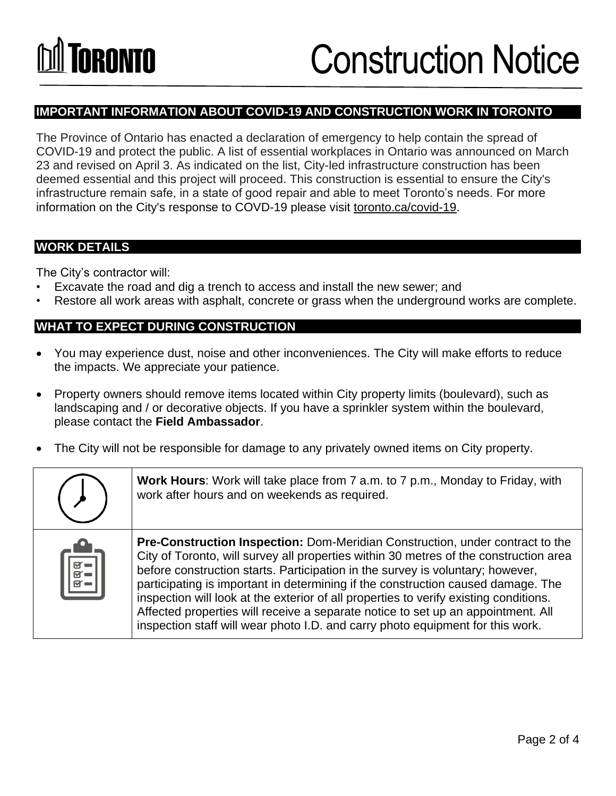#### **IMPORTANT INFORMATION ABOUT COVID-19 AND CONSTRUCTION WORK IN TORONTO**

The Province of Ontario has enacted a declaration of emergency to help contain the spread of COVID-19 and protect the public. A list of essential workplaces in Ontario was announced on March 23 and revised on April 3. As indicated on the list, City-led infrastructure construction has been deemed essential and this project will proceed. This construction is essential to ensure the City's infrastructure remain safe, in a state of good repair and able to meet Toronto's needs. For more information on the City's response to COVD-19 please visit [toronto.ca/covid-19.](http://www.toronto.ca/covid-19)

#### **WORK DETAILS**

The City's contractor will:

- Excavate the road and dig a trench to access and install the new sewer; and
- Restore all work areas with asphalt, concrete or grass when the underground works are complete.

#### **WHAT TO EXPECT DURING CONSTRUCTION**

- You may experience dust, noise and other inconveniences. The City will make efforts to reduce the impacts. We appreciate your patience.
- Property owners should remove items located within City property limits (boulevard), such as landscaping and / or decorative objects. If you have a sprinkler system within the boulevard, please contact the **Field Ambassador**.
- The City will not be responsible for damage to any privately owned items on City property.

|                                                                                  | Work Hours: Work will take place from 7 a.m. to 7 p.m., Monday to Friday, with<br>work after hours and on weekends as required.                                                                                                                                                                                                                                                                                                                                                                                                                                                                                    |
|----------------------------------------------------------------------------------|--------------------------------------------------------------------------------------------------------------------------------------------------------------------------------------------------------------------------------------------------------------------------------------------------------------------------------------------------------------------------------------------------------------------------------------------------------------------------------------------------------------------------------------------------------------------------------------------------------------------|
| $\begin{array}{ c c } \hline \hline \hline g & \hline \hline \hline \end{array}$ | <b>Pre-Construction Inspection:</b> Dom-Meridian Construction, under contract to the<br>City of Toronto, will survey all properties within 30 metres of the construction area<br>before construction starts. Participation in the survey is voluntary; however,<br>participating is important in determining if the construction caused damage. The<br>inspection will look at the exterior of all properties to verify existing conditions.<br>Affected properties will receive a separate notice to set up an appointment. All<br>inspection staff will wear photo I.D. and carry photo equipment for this work. |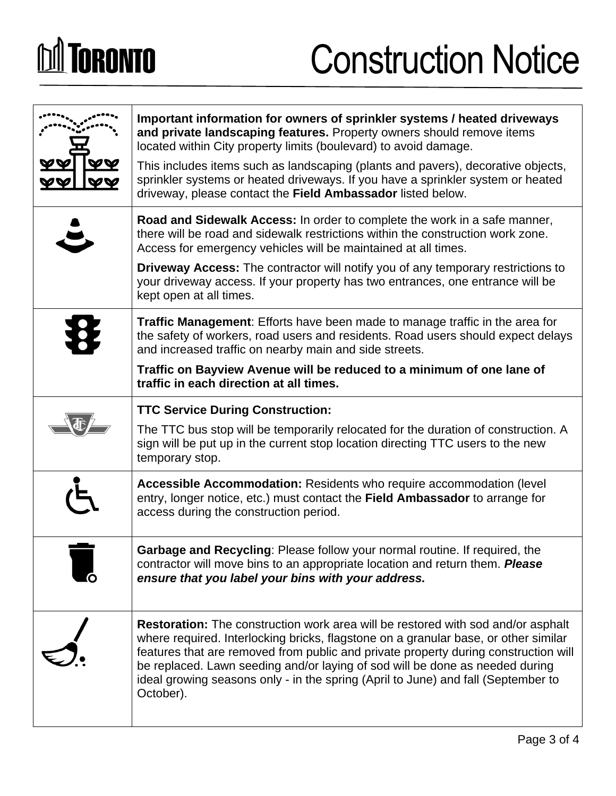# **DA TORONTO**

### Construction Notice

|  | Important information for owners of sprinkler systems / heated driveways<br>and private landscaping features. Property owners should remove items<br>located within City property limits (boulevard) to avoid damage.<br>This includes items such as landscaping (plants and pavers), decorative objects,<br>sprinkler systems or heated driveways. If you have a sprinkler system or heated<br>driveway, please contact the Field Ambassador listed below. |
|--|-------------------------------------------------------------------------------------------------------------------------------------------------------------------------------------------------------------------------------------------------------------------------------------------------------------------------------------------------------------------------------------------------------------------------------------------------------------|
|  | Road and Sidewalk Access: In order to complete the work in a safe manner,<br>there will be road and sidewalk restrictions within the construction work zone.<br>Access for emergency vehicles will be maintained at all times.                                                                                                                                                                                                                              |
|  | <b>Driveway Access:</b> The contractor will notify you of any temporary restrictions to<br>your driveway access. If your property has two entrances, one entrance will be<br>kept open at all times.                                                                                                                                                                                                                                                        |
|  | <b>Traffic Management:</b> Efforts have been made to manage traffic in the area for<br>the safety of workers, road users and residents. Road users should expect delays<br>and increased traffic on nearby main and side streets.                                                                                                                                                                                                                           |
|  | Traffic on Bayview Avenue will be reduced to a minimum of one lane of<br>traffic in each direction at all times.                                                                                                                                                                                                                                                                                                                                            |
|  | <b>TTC Service During Construction:</b>                                                                                                                                                                                                                                                                                                                                                                                                                     |
|  | The TTC bus stop will be temporarily relocated for the duration of construction. A<br>sign will be put up in the current stop location directing TTC users to the new<br>temporary stop.                                                                                                                                                                                                                                                                    |
|  | Accessible Accommodation: Residents who require accommodation (level<br>entry, longer notice, etc.) must contact the Field Ambassador to arrange for<br>access during the construction period.                                                                                                                                                                                                                                                              |
|  | Garbage and Recycling: Please follow your normal routine. If required, the<br>contractor will move bins to an appropriate location and return them. Please<br>ensure that you label your bins with your address.                                                                                                                                                                                                                                            |
|  | <b>Restoration:</b> The construction work area will be restored with sod and/or asphalt<br>where required. Interlocking bricks, flagstone on a granular base, or other similar<br>features that are removed from public and private property during construction will<br>be replaced. Lawn seeding and/or laying of sod will be done as needed during<br>ideal growing seasons only - in the spring (April to June) and fall (September to<br>October).     |